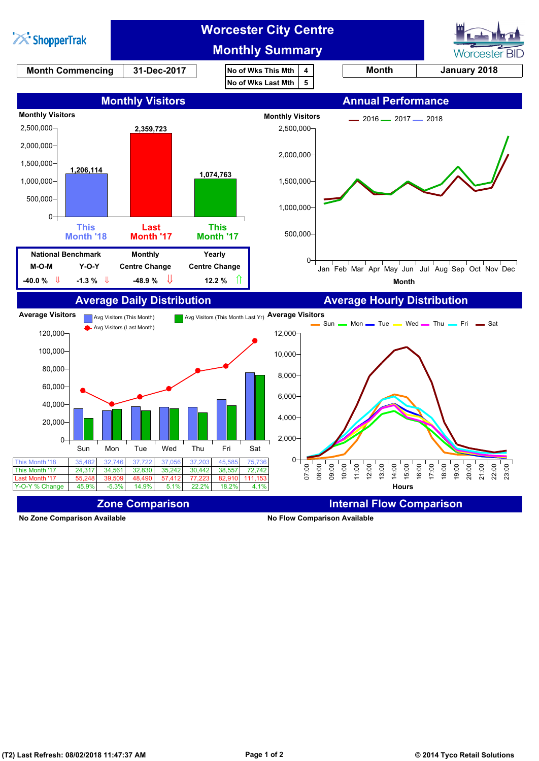

**No Zone Comparison Available No Flow Comparison Available**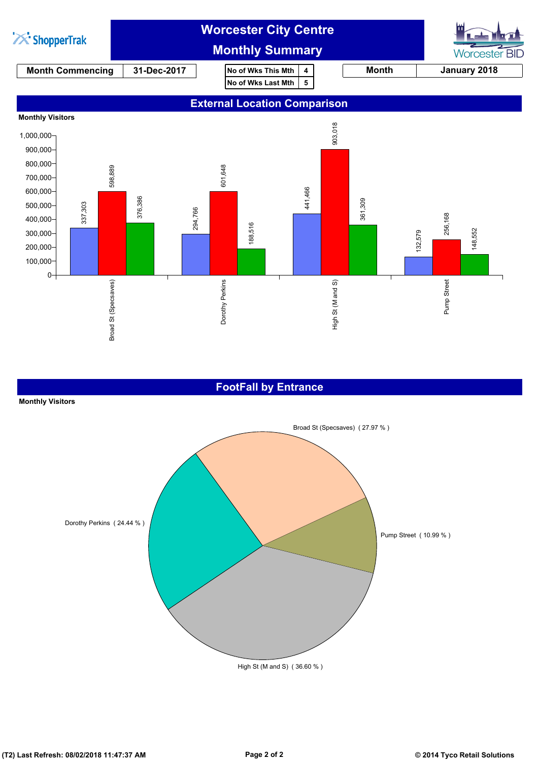

#### **FootFall by Entrance**

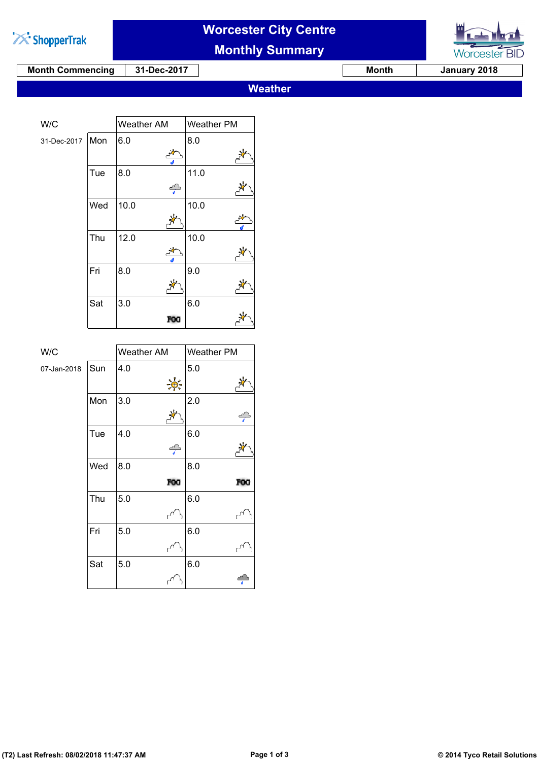

# **Worcester City Centre**

**Monthly Summary**



**Month Commencing 31-Dec-2017 Month Month** January 2018

**Weather**

| W/C         |     | Weather AM | Weather PM |
|-------------|-----|------------|------------|
| 07-Jan-2018 | Sun | 4.0        | 5.0        |
|             |     | `⊕`-       |            |
|             | Mon | 3.0        | 2.0        |
|             |     |            | ╬          |
|             | Tue | 4.0        | 6.0        |
|             |     | $\int$     |            |
|             | Wed | 8.0        | 8.0        |
|             |     | <b>FOG</b> | FOG        |
|             | Thu | 5.0        | 6.0        |
|             |     |            |            |
|             | Fri | 5.0        | 6.0        |
|             |     |            |            |
|             | Sat | 5.0        | 6.0        |
|             |     |            |            |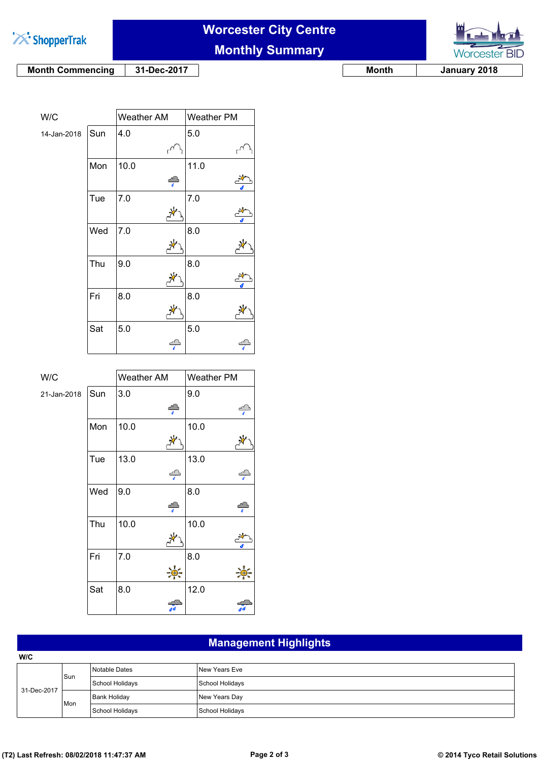

# **Worcester City Centre**





**Month Commencing 31-Dec-2017 Month Month** January 2018

| W/C         |     | Weather AM |               | Weather PM |  |
|-------------|-----|------------|---------------|------------|--|
| 14-Jan-2018 | Sun | 4.0        |               | 5.0        |  |
|             |     |            |               |            |  |
|             | Mon | 10.0       |               | 11.0       |  |
|             |     |            | $\rightarrow$ |            |  |
|             | Tue | 7.0        |               | 7.0        |  |
|             |     |            |               |            |  |
|             | Wed | 7.0        |               | 8.0        |  |
|             |     |            |               |            |  |
|             | Thu | 9.0        |               | 8.0        |  |
|             |     |            |               |            |  |
|             | Fri | 8.0        |               | 8.0        |  |
|             |     |            |               |            |  |
|             | Sat | 5.0        |               | 5.0        |  |
|             |     |            |               |            |  |

| W/C         |     | Weather AM           | Weather PM |
|-------------|-----|----------------------|------------|
| 21-Jan-2018 | Sun | 3.0                  | 9.0        |
|             |     | $\rightarrow$        | ÷          |
|             | Mon | 10.0                 | 10.0       |
|             |     |                      |            |
|             | Tue | 13.0                 | 13.0       |
|             |     | $\frac{d}{dt}$       | ÷          |
|             | Wed | 9.0                  | 8.0        |
|             |     | $\frac{1}{\sqrt{2}}$ |            |
|             | Thu | 10.0                 | 10.0       |
|             |     |                      |            |
|             | Fri | 7.0                  | 8.0        |
|             |     |                      |            |
|             | Sat | 8.0                  | 12.0       |
|             |     |                      |            |

### **Management Highlights**

| W/C         |     |                 |                 |
|-------------|-----|-----------------|-----------------|
| 31-Dec-2017 | Sun | Notable Dates   | New Years Eve   |
|             |     | School Holidays | School Holidays |
|             | Mon | Bank Holiday    | New Years Day   |
|             |     | School Holidays | School Holidays |